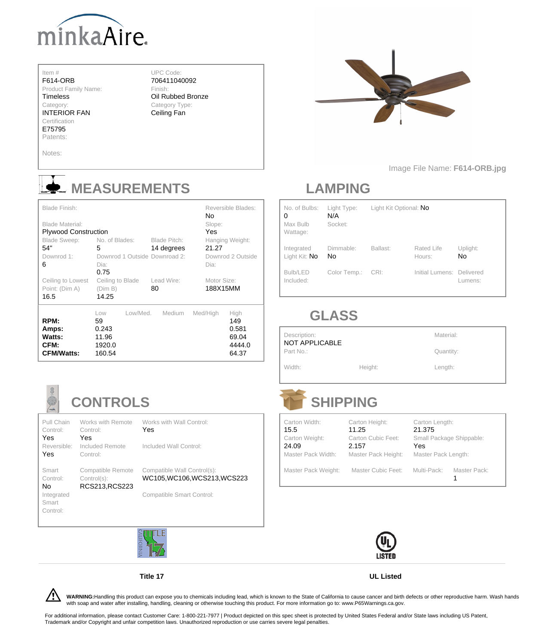

#### Item #

F614-ORB

Product Family Name:

**Timeless** 

INTERIOR FAN **Certification** 

Category:

E75795

UPC Code: 706411040092

Finish: Oil Rubbed Bronze Category Type:

Ceiling Fan



Patents:

#### Notes:

Image File Name: **F614-ORB.jpg**

## **MEASUREMENTS**

| <b>Blade Finish:</b><br><b>Blade Material:</b><br><b>Plywood Construction</b><br><b>Blade Sweep:</b><br>54"<br>Downrod 1: | No. of Blades:<br>5<br>Downrod 1 Outside Downroad 2:        | <b>Blade Pitch:</b><br>14 degrees | <b>No</b><br>Slope:<br>Yes<br>21.27 | <b>Reversible Blades:</b><br>Hanging Weight:<br>Downrod 2 Outside |
|---------------------------------------------------------------------------------------------------------------------------|-------------------------------------------------------------|-----------------------------------|-------------------------------------|-------------------------------------------------------------------|
| 6                                                                                                                         | Dia:<br>0.75                                                |                                   | Dia:                                |                                                                   |
| <b>Ceiling to Lowest</b><br>Point: (Dim A)<br>16.5                                                                        | Ceiling to Blade<br>(Dim B)<br>14.25                        | Lead Wire:<br>80                  | Motor Size:<br>188X15MM             |                                                                   |
| RPM:<br>Amps:<br><b>Watts:</b><br>CFM:<br><b>CFM/Watts:</b>                                                               | Low/Med.<br>Low<br>59<br>0.243<br>11.96<br>1920.0<br>160.54 | <b>Medium</b>                     | Med/High                            | High<br>149<br>0.581<br>69.04<br>4444.0<br>64.37                  |



### **LAMPING**

| No. of Bulbs:<br>$\overline{0}$<br>Max Bulb<br>Wattage: | Light Type:<br>N/A<br>Socket: | Light Kit Optional: No |                                  |                       |
|---------------------------------------------------------|-------------------------------|------------------------|----------------------------------|-----------------------|
| Integrated<br>Light Kit: No                             | Dimmable:<br><b>No</b>        | Ballast:               | <b>Rated Life</b><br>Hours:      | Uplight:<br><b>No</b> |
| Bulb/LED<br>Included:                                   | Color Temp.:                  | CRI:                   | <b>Initial Lumens: Delivered</b> | Lumens:               |

### **GLASS**

For additional information, please contact Customer Care: 1-800-221-7977 | Product depicted on this spec sheet is protected by United States Federal and/or State laws including US Patent, Trademark and/or Copyright and unfair competition laws. Unauthorized reproduction or use carries severe legal penalties.

| Description:<br>NOT APPLICABLE | Material: |           |
|--------------------------------|-----------|-----------|
| Part No.:                      |           | Quantity: |
| Width:                         | Height:   | Length:   |

## **CONTROLS**

Pull Chain Control: Yes Control: Yes

Works with Remote Works with Wall Control: Yes

/! **WARNING:**Handling this product can expose you to chemicals including lead, which is known to the State of California to cause cancer and birth defects or other reproductive harm. Wash hands with soap and water after installing, handling, cleaning or otherwise touching this product. For more information go to: www.P65Warnings.ca.gov.

Reversible: Included Remote

Included Wall Control:

# **SHIPPING**



| Carton Width:  | Carton Height:        |
|----------------|-----------------------|
| 15.5           | 11.25                 |
| Carton Weight: | <b>Carton Cubic F</b> |
| 24.09          | 2.157                 |
|                |                       |

Carton Length: 21.375 rton Cubic Feet: Small Package Shippable: Yes